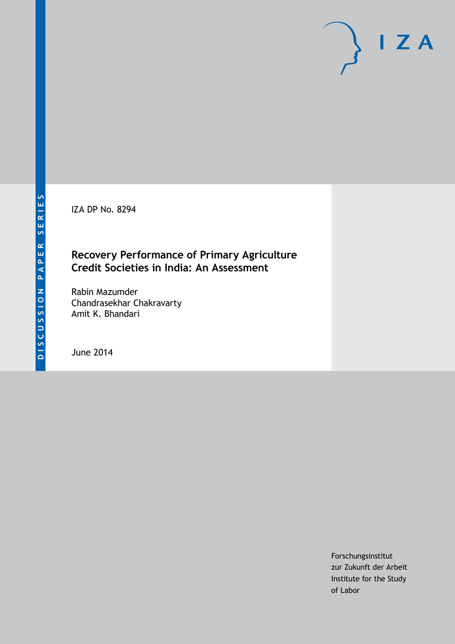IZA DP No. 8294

### **Recovery Performance of Primary Agriculture Credit Societies in India: An Assessment**

Rabin Mazumder Chandrasekhar Chakravarty Amit K. Bhandari

June 2014

Forschungsinstitut zur Zukunft der Arbeit Institute for the Study of Labor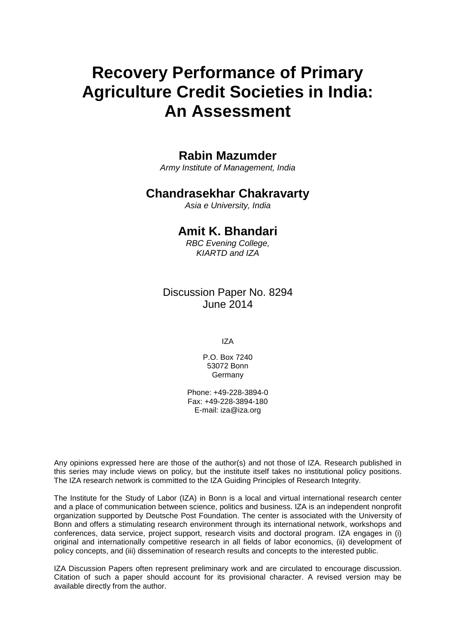# **Recovery Performance of Primary Agriculture Credit Societies in India: An Assessment**

# **Rabin Mazumder**

*Army Institute of Management, India*

# **Chandrasekhar Chakravarty**

*Asia e University, India*

# **Amit K. Bhandari**

*RBC Evening College, KIARTD and IZA*

Discussion Paper No. 8294 June 2014

IZA

P.O. Box 7240 53072 Bonn Germany

Phone: +49-228-3894-0 Fax: +49-228-3894-180 E-mail: [iza@iza.org](mailto:iza@iza.org)

Any opinions expressed here are those of the author(s) and not those of IZA. Research published in this series may include views on policy, but the institute itself takes no institutional policy positions. The IZA research network is committed to the IZA Guiding Principles of Research Integrity.

The Institute for the Study of Labor (IZA) in Bonn is a local and virtual international research center and a place of communication between science, politics and business. IZA is an independent nonprofit organization supported by Deutsche Post Foundation. The center is associated with the University of Bonn and offers a stimulating research environment through its international network, workshops and conferences, data service, project support, research visits and doctoral program. IZA engages in (i) original and internationally competitive research in all fields of labor economics, (ii) development of policy concepts, and (iii) dissemination of research results and concepts to the interested public.

IZA Discussion Papers often represent preliminary work and are circulated to encourage discussion. Citation of such a paper should account for its provisional character. A revised version may be available directly from the author.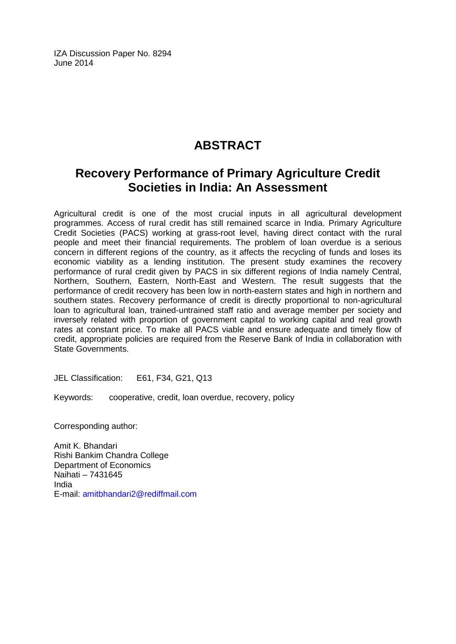IZA Discussion Paper No. 8294 June 2014

# **ABSTRACT**

# **Recovery Performance of Primary Agriculture Credit Societies in India: An Assessment**

Agricultural credit is one of the most crucial inputs in all agricultural development programmes. Access of rural credit has still remained scarce in India. Primary Agriculture Credit Societies (PACS) working at grass-root level, having direct contact with the rural people and meet their financial requirements. The problem of loan overdue is a serious concern in different regions of the country, as it affects the recycling of funds and loses its economic viability as a lending institution. The present study examines the recovery performance of rural credit given by PACS in six different regions of India namely Central, Northern, Southern, Eastern, North-East and Western. The result suggests that the performance of credit recovery has been low in north-eastern states and high in northern and southern states. Recovery performance of credit is directly proportional to non-agricultural loan to agricultural loan, trained-untrained staff ratio and average member per society and inversely related with proportion of government capital to working capital and real growth rates at constant price. To make all PACS viable and ensure adequate and timely flow of credit, appropriate policies are required from the Reserve Bank of India in collaboration with State Governments.

JEL Classification: E61, F34, G21, Q13

Keywords: cooperative, credit, loan overdue, recovery, policy

Corresponding author:

Amit K. Bhandari Rishi Bankim Chandra College Department of Economics Naihati – 7431645 India E-mail: [amitbhandari2@rediffmail.com](mailto:amitbhandari2@rediffmail.com)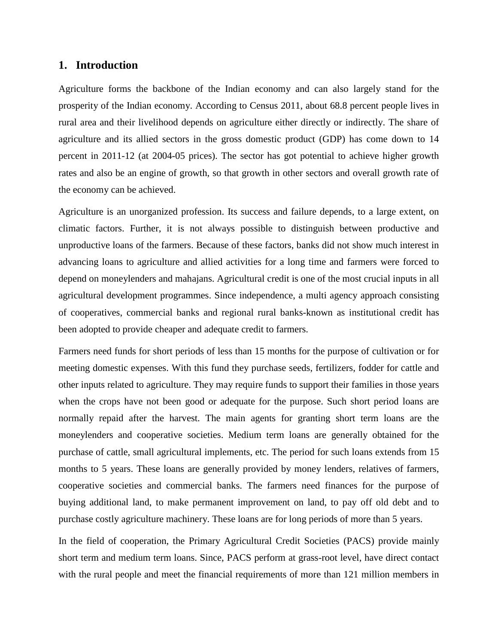#### **1. Introduction**

Agriculture forms the backbone of the Indian economy and can also largely stand for the prosperity of the Indian economy. According to Census 2011, about 68.8 percent people lives in rural area and their livelihood depends on agriculture either directly or indirectly. The share of agriculture and its allied sectors in the gross domestic product (GDP) has come down to 14 percent in 2011-12 (at 2004-05 prices). The sector has got potential to achieve higher growth rates and also be an engine of growth, so that growth in other sectors and overall growth rate of the economy can be achieved.

Agriculture is an unorganized profession. Its success and failure depends, to a large extent, on climatic factors. Further, it is not always possible to distinguish between productive and unproductive loans of the farmers. Because of these factors, banks did not show much interest in advancing loans to agriculture and allied activities for a long time and farmers were forced to depend on moneylenders and mahajans. Agricultural credit is one of the most crucial inputs in all agricultural development programmes. Since independence, a multi agency approach consisting of cooperatives, commercial banks and regional rural banks-known as institutional credit has been adopted to provide cheaper and adequate credit to farmers.

Farmers need funds for short periods of less than 15 months for the purpose of cultivation or for meeting domestic expenses. With this fund they purchase seeds, fertilizers, fodder for cattle and other inputs related to agriculture. They may require funds to support their families in those years when the crops have not been good or adequate for the purpose. Such short period loans are normally repaid after the harvest. The main agents for granting short term loans are the moneylenders and cooperative societies. Medium term loans are generally obtained for the purchase of cattle, small agricultural implements, etc. The period for such loans extends from 15 months to 5 years. These loans are generally provided by money lenders, relatives of farmers, cooperative societies and commercial banks. The farmers need finances for the purpose of buying additional land, to make permanent improvement on land, to pay off old debt and to purchase costly agriculture machinery. These loans are for long periods of more than 5 years.

In the field of cooperation, the Primary Agricultural Credit Societies (PACS) provide mainly short term and medium term loans. Since, PACS perform at grass-root level, have direct contact with the rural people and meet the financial requirements of more than 121 million members in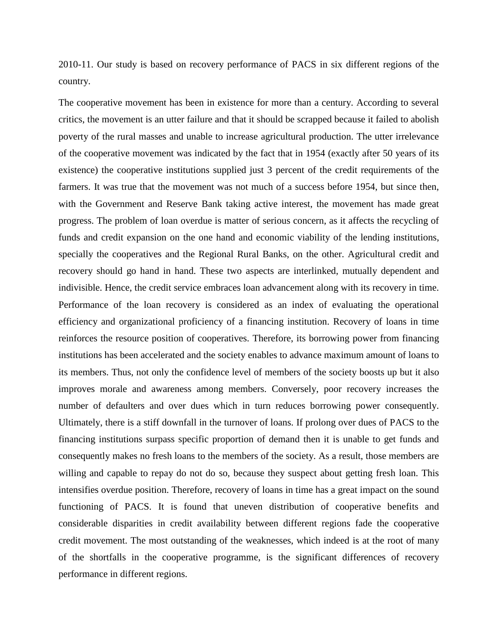2010-11. Our study is based on recovery performance of PACS in six different regions of the country.

The cooperative movement has been in existence for more than a century. According to several critics, the movement is an utter failure and that it should be scrapped because it failed to abolish poverty of the rural masses and unable to increase agricultural production. The utter irrelevance of the cooperative movement was indicated by the fact that in 1954 (exactly after 50 years of its existence) the cooperative institutions supplied just 3 percent of the credit requirements of the farmers. It was true that the movement was not much of a success before 1954, but since then, with the Government and Reserve Bank taking active interest, the movement has made great progress. The problem of loan overdue is matter of serious concern, as it affects the recycling of funds and credit expansion on the one hand and economic viability of the lending institutions, specially the cooperatives and the Regional Rural Banks, on the other. Agricultural credit and recovery should go hand in hand. These two aspects are interlinked, mutually dependent and indivisible. Hence, the credit service embraces loan advancement along with its recovery in time. Performance of the loan recovery is considered as an index of evaluating the operational efficiency and organizational proficiency of a financing institution. Recovery of loans in time reinforces the resource position of cooperatives. Therefore, its borrowing power from financing institutions has been accelerated and the society enables to advance maximum amount of loans to its members. Thus, not only the confidence level of members of the society boosts up but it also improves morale and awareness among members. Conversely, poor recovery increases the number of defaulters and over dues which in turn reduces borrowing power consequently. Ultimately, there is a stiff downfall in the turnover of loans. If prolong over dues of PACS to the financing institutions surpass specific proportion of demand then it is unable to get funds and consequently makes no fresh loans to the members of the society. As a result, those members are willing and capable to repay do not do so, because they suspect about getting fresh loan. This intensifies overdue position. Therefore, recovery of loans in time has a great impact on the sound functioning of PACS. It is found that uneven distribution of cooperative benefits and considerable disparities in credit availability between different regions fade the cooperative credit movement. The most outstanding of the weaknesses, which indeed is at the root of many of the shortfalls in the cooperative programme, is the significant differences of recovery performance in different regions.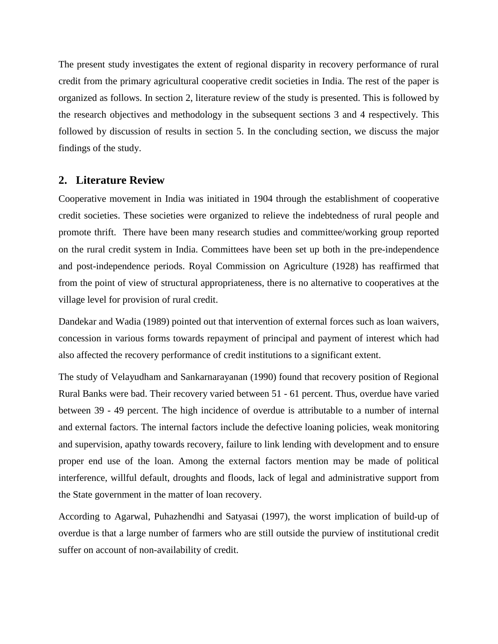The present study investigates the extent of regional disparity in recovery performance of rural credit from the primary agricultural cooperative credit societies in India. The rest of the paper is organized as follows. In section 2, literature review of the study is presented. This is followed by the research objectives and methodology in the subsequent sections 3 and 4 respectively. This followed by discussion of results in section 5. In the concluding section, we discuss the major findings of the study.

#### **2. Literature Review**

Cooperative movement in India was initiated in 1904 through the establishment of cooperative credit societies. These societies were organized to relieve the indebtedness of rural people and promote thrift. There have been many research studies and committee/working group reported on the rural credit system in India. Committees have been set up both in the pre-independence and post-independence periods. Royal Commission on Agriculture (1928) has reaffirmed that from the point of view of structural appropriateness, there is no alternative to cooperatives at the village level for provision of rural credit.

Dandekar and Wadia (1989) pointed out that intervention of external forces such as loan waivers, concession in various forms towards repayment of principal and payment of interest which had also affected the recovery performance of credit institutions to a significant extent.

The study of Velayudham and Sankarnarayanan (1990) found that recovery position of Regional Rural Banks were bad. Their recovery varied between 51 - 61 percent. Thus, overdue have varied between 39 - 49 percent. The high incidence of overdue is attributable to a number of internal and external factors. The internal factors include the defective loaning policies, weak monitoring and supervision, apathy towards recovery, failure to link lending with development and to ensure proper end use of the loan. Among the external factors mention may be made of political interference, willful default, droughts and floods, lack of legal and administrative support from the State government in the matter of loan recovery.

According to Agarwal, Puhazhendhi and Satyasai (1997), the worst implication of build-up of overdue is that a large number of farmers who are still outside the purview of institutional credit suffer on account of non-availability of credit.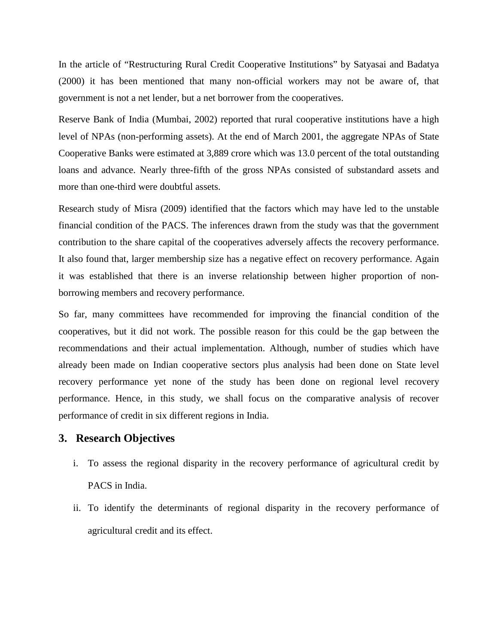In the article of "Restructuring Rural Credit Cooperative Institutions" by Satyasai and Badatya (2000) it has been mentioned that many non-official workers may not be aware of, that government is not a net lender, but a net borrower from the cooperatives.

Reserve Bank of India (Mumbai, 2002) reported that rural cooperative institutions have a high level of NPAs (non-performing assets). At the end of March 2001, the aggregate NPAs of State Cooperative Banks were estimated at 3,889 crore which was 13.0 percent of the total outstanding loans and advance. Nearly three-fifth of the gross NPAs consisted of substandard assets and more than one-third were doubtful assets.

Research study of Misra (2009) identified that the factors which may have led to the unstable financial condition of the PACS. The inferences drawn from the study was that the government contribution to the share capital of the cooperatives adversely affects the recovery performance. It also found that, larger membership size has a negative effect on recovery performance. Again it was established that there is an inverse relationship between higher proportion of nonborrowing members and recovery performance.

So far, many committees have recommended for improving the financial condition of the cooperatives, but it did not work. The possible reason for this could be the gap between the recommendations and their actual implementation. Although, number of studies which have already been made on Indian cooperative sectors plus analysis had been done on State level recovery performance yet none of the study has been done on regional level recovery performance. Hence, in this study, we shall focus on the comparative analysis of recover performance of credit in six different regions in India.

#### **3. Research Objectives**

- i. To assess the regional disparity in the recovery performance of agricultural credit by PACS in India.
- ii. To identify the determinants of regional disparity in the recovery performance of agricultural credit and its effect.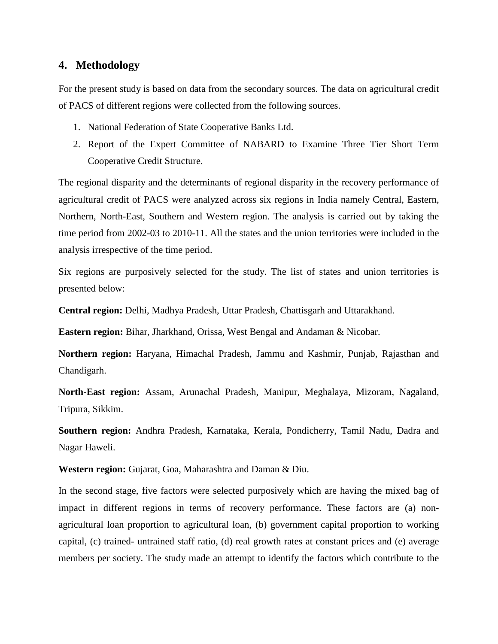#### **4. Methodology**

For the present study is based on data from the secondary sources. The data on agricultural credit of PACS of different regions were collected from the following sources.

- 1. National Federation of State Cooperative Banks Ltd.
- 2. Report of the Expert Committee of NABARD to Examine Three Tier Short Term Cooperative Credit Structure.

The regional disparity and the determinants of regional disparity in the recovery performance of agricultural credit of PACS were analyzed across six regions in India namely Central, Eastern, Northern, North-East, Southern and Western region. The analysis is carried out by taking the time period from 2002-03 to 2010-11. All the states and the union territories were included in the analysis irrespective of the time period.

Six regions are purposively selected for the study. The list of states and union territories is presented below:

**Central region:** Delhi, Madhya Pradesh, Uttar Pradesh, Chattisgarh and Uttarakhand.

**Eastern region:** Bihar, Jharkhand, Orissa, West Bengal and Andaman & Nicobar.

**Northern region:** Haryana, Himachal Pradesh, Jammu and Kashmir, Punjab, Rajasthan and Chandigarh.

**North-East region:** Assam, Arunachal Pradesh, Manipur, Meghalaya, Mizoram, Nagaland, Tripura, Sikkim.

**Southern region:** Andhra Pradesh, Karnataka, Kerala, Pondicherry, Tamil Nadu, Dadra and Nagar Haweli.

**Western region:** Gujarat, Goa, Maharashtra and Daman & Diu.

In the second stage, five factors were selected purposively which are having the mixed bag of impact in different regions in terms of recovery performance. These factors are (a) nonagricultural loan proportion to agricultural loan, (b) government capital proportion to working capital, (c) trained- untrained staff ratio, (d) real growth rates at constant prices and (e) average members per society. The study made an attempt to identify the factors which contribute to the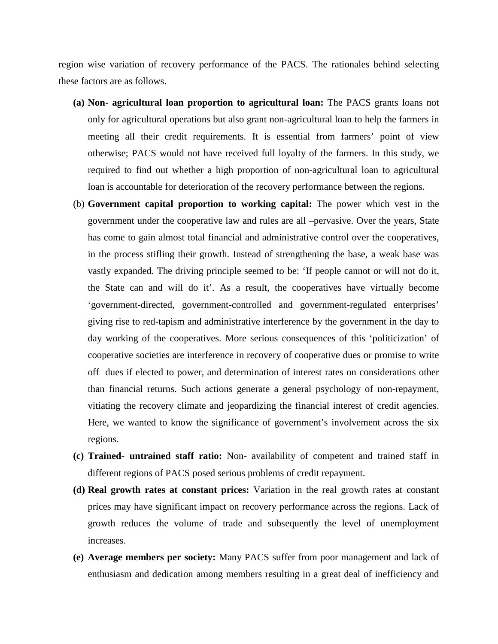region wise variation of recovery performance of the PACS. The rationales behind selecting these factors are as follows.

- **(a) Non- agricultural loan proportion to agricultural loan:** The PACS grants loans not only for agricultural operations but also grant non-agricultural loan to help the farmers in meeting all their credit requirements. It is essential from farmers' point of view otherwise; PACS would not have received full loyalty of the farmers. In this study, we required to find out whether a high proportion of non-agricultural loan to agricultural loan is accountable for deterioration of the recovery performance between the regions.
- (b) **Government capital proportion to working capital:** The power which vest in the government under the cooperative law and rules are all –pervasive. Over the years, State has come to gain almost total financial and administrative control over the cooperatives, in the process stifling their growth. Instead of strengthening the base, a weak base was vastly expanded. The driving principle seemed to be: 'If people cannot or will not do it, the State can and will do it'. As a result, the cooperatives have virtually become 'government-directed, government-controlled and government-regulated enterprises' giving rise to red-tapism and administrative interference by the government in the day to day working of the cooperatives. More serious consequences of this 'politicization' of cooperative societies are interference in recovery of cooperative dues or promise to write off dues if elected to power, and determination of interest rates on considerations other than financial returns. Such actions generate a general psychology of non-repayment, vitiating the recovery climate and jeopardizing the financial interest of credit agencies. Here, we wanted to know the significance of government's involvement across the six regions.
- **(c) Trained- untrained staff ratio:** Non- availability of competent and trained staff in different regions of PACS posed serious problems of credit repayment.
- **(d) Real growth rates at constant prices:** Variation in the real growth rates at constant prices may have significant impact on recovery performance across the regions. Lack of growth reduces the volume of trade and subsequently the level of unemployment increases.
- **(e) Average members per society:** Many PACS suffer from poor management and lack of enthusiasm and dedication among members resulting in a great deal of inefficiency and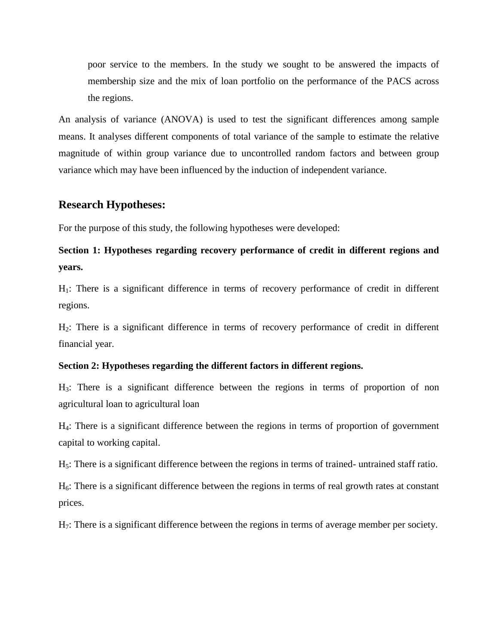poor service to the members. In the study we sought to be answered the impacts of membership size and the mix of loan portfolio on the performance of the PACS across the regions.

An analysis of variance (ANOVA) is used to test the significant differences among sample means. It analyses different components of total variance of the sample to estimate the relative magnitude of within group variance due to uncontrolled random factors and between group variance which may have been influenced by the induction of independent variance.

#### **Research Hypotheses:**

For the purpose of this study, the following hypotheses were developed:

# **Section 1: Hypotheses regarding recovery performance of credit in different regions and years.**

 $H_1$ : There is a significant difference in terms of recovery performance of credit in different regions.

H2: There is a significant difference in terms of recovery performance of credit in different financial year.

#### **Section 2: Hypotheses regarding the different factors in different regions.**

H3: There is a significant difference between the regions in terms of proportion of non agricultural loan to agricultural loan

H4: There is a significant difference between the regions in terms of proportion of government capital to working capital.

H5: There is a significant difference between the regions in terms of trained- untrained staff ratio.

 $H<sub>6</sub>$ : There is a significant difference between the regions in terms of real growth rates at constant prices.

H7: There is a significant difference between the regions in terms of average member per society.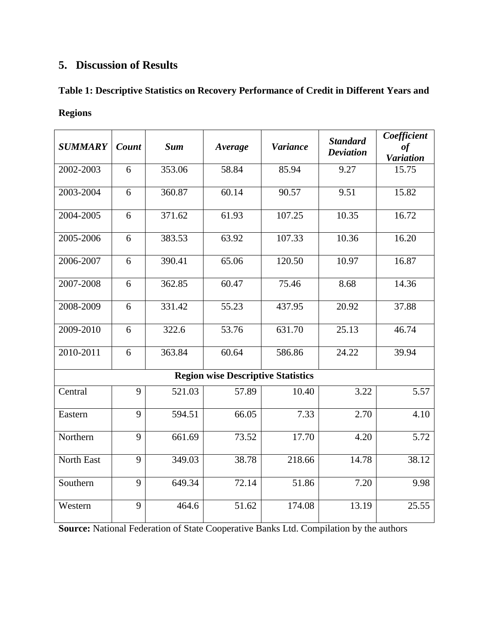# **5. Discussion of Results**

#### **Table 1: Descriptive Statistics on Recovery Performance of Credit in Different Years and**

#### **Regions**

| <b>SUMMARY</b> | Count | <b>Sum</b> | Average                                   | <b>Variance</b> | <b>Standard</b><br><b>Deviation</b> | Coefficient<br>$\it of$<br><b>Variation</b> |
|----------------|-------|------------|-------------------------------------------|-----------------|-------------------------------------|---------------------------------------------|
| 2002-2003      | 6     | 353.06     | 58.84                                     | 85.94           | 9.27                                | 15.75                                       |
| 2003-2004      | 6     | 360.87     | 60.14                                     | 90.57           | 9.51                                | 15.82                                       |
| 2004-2005      | 6     | 371.62     | 61.93                                     | 107.25          | 10.35                               | 16.72                                       |
| 2005-2006      | 6     | 383.53     | 63.92                                     | 107.33          | 10.36                               | 16.20                                       |
| 2006-2007      | 6     | 390.41     | 65.06                                     | 120.50          | 10.97                               | 16.87                                       |
| 2007-2008      | 6     | 362.85     | 60.47                                     | 75.46           | 8.68                                | 14.36                                       |
| 2008-2009      | 6     | 331.42     | 55.23                                     | 437.95          | 20.92                               | 37.88                                       |
| 2009-2010      | 6     | 322.6      | 53.76                                     | 631.70          | 25.13                               | 46.74                                       |
| 2010-2011      | 6     | 363.84     | 60.64                                     | 586.86          | 24.22                               | 39.94                                       |
|                |       |            | <b>Region wise Descriptive Statistics</b> |                 |                                     |                                             |
| Central        | 9     | 521.03     | 57.89                                     | 10.40           | 3.22                                | $\overline{5.57}$                           |
| Eastern        | 9     | 594.51     | 66.05                                     | 7.33            | 2.70                                | 4.10                                        |
| Northern       | 9     | 661.69     | 73.52                                     | 17.70           | 4.20                                | 5.72                                        |
| North East     | 9     | 349.03     | 38.78                                     | 218.66          | 14.78                               | 38.12                                       |
| Southern       | 9     | 649.34     | 72.14                                     | 51.86           | 7.20                                | 9.98                                        |
| Western        | 9     | 464.6      | 51.62                                     | 174.08          | 13.19                               | 25.55                                       |

**Source:** National Federation of State Cooperative Banks Ltd. Compilation by the authors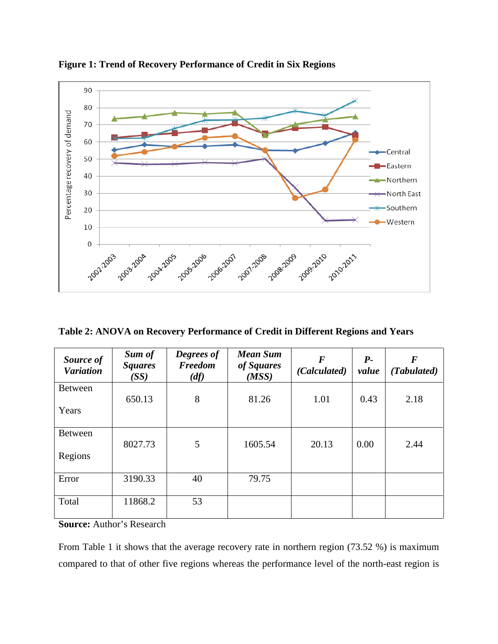

**Figure 1: Trend of Recovery Performance of Credit in Six Regions**

**Table 2: ANOVA on Recovery Performance of Credit in Different Regions and Years**

| Source of<br><b>Variation</b> | Sum of<br><b>Squares</b><br>(SS) | Degrees of<br>Freedom<br>(df) | <b>Mean Sum</b><br>of Squares<br>(MSS) | $\bm{F}$<br>(Calculated) | $P-$<br>value | $\bm{F}$<br>(Tabulated) |
|-------------------------------|----------------------------------|-------------------------------|----------------------------------------|--------------------------|---------------|-------------------------|
| <b>Between</b>                |                                  |                               |                                        |                          |               |                         |
| Years                         | 650.13                           | 8                             | 81.26                                  | 1.01                     | 0.43          | 2.18                    |
| <b>Between</b>                | 8027.73                          | 5                             | 1605.54                                | 20.13                    | 0.00          | 2.44                    |
| Regions                       |                                  |                               |                                        |                          |               |                         |
| Error                         | 3190.33                          | 40                            | 79.75                                  |                          |               |                         |
| Total                         | 11868.2                          | 53                            |                                        |                          |               |                         |

**Source:** Author's Research

From Table 1 it shows that the average recovery rate in northern region (73.52 %) is maximum compared to that of other five regions whereas the performance level of the north-east region is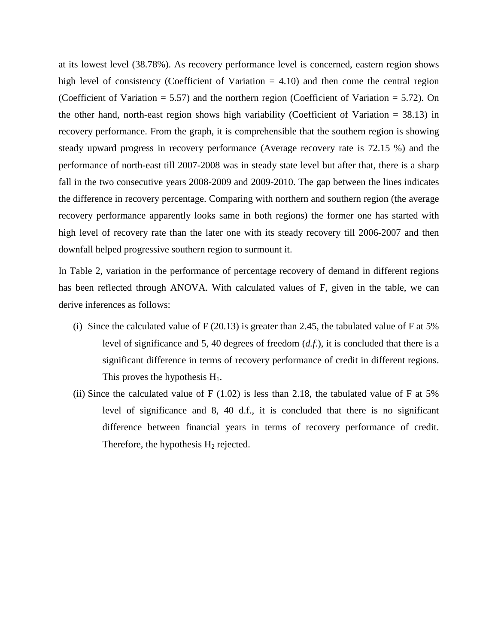at its lowest level (38.78%). As recovery performance level is concerned, eastern region shows high level of consistency (Coefficient of Variation  $= 4.10$ ) and then come the central region (Coefficient of Variation  $= 5.57$ ) and the northern region (Coefficient of Variation  $= 5.72$ ). On the other hand, north-east region shows high variability (Coefficient of Variation = 38.13) in recovery performance. From the graph, it is comprehensible that the southern region is showing steady upward progress in recovery performance (Average recovery rate is 72.15 %) and the performance of north-east till 2007-2008 was in steady state level but after that, there is a sharp fall in the two consecutive years 2008-2009 and 2009-2010. The gap between the lines indicates the difference in recovery percentage. Comparing with northern and southern region (the average recovery performance apparently looks same in both regions) the former one has started with high level of recovery rate than the later one with its steady recovery till 2006-2007 and then downfall helped progressive southern region to surmount it.

In Table 2, variation in the performance of percentage recovery of demand in different regions has been reflected through ANOVA. With calculated values of F, given in the table, we can derive inferences as follows:

- (i) Since the calculated value of  $F(20.13)$  is greater than 2.45, the tabulated value of F at 5% level of significance and 5, 40 degrees of freedom (*d.f*.), it is concluded that there is a significant difference in terms of recovery performance of credit in different regions. This proves the hypothesis  $H_1$ .
- (ii) Since the calculated value of F  $(1.02)$  is less than 2.18, the tabulated value of F at 5% level of significance and 8, 40 d.f., it is concluded that there is no significant difference between financial years in terms of recovery performance of credit. Therefore, the hypothesis  $H_2$  rejected.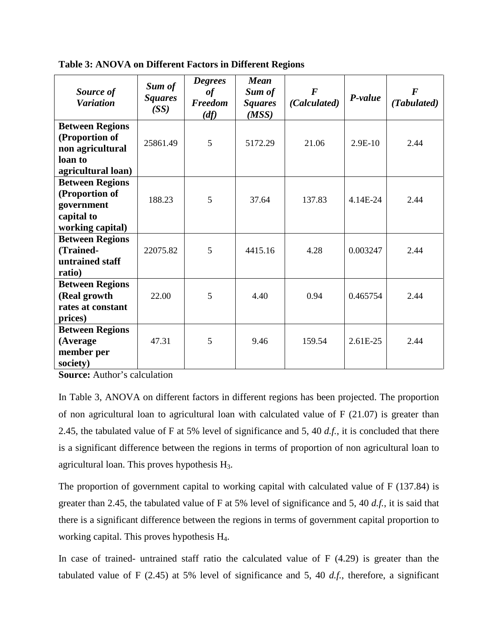| Source of<br><b>Variation</b>                                                                 | Sum of<br><b>Squares</b><br>(SS) | <b>Degrees</b><br>of<br><b>Freedom</b><br>(df) | <b>Mean</b><br>Sum of<br><b>Squares</b><br>(MSS) | $\boldsymbol{F}$<br>(Calculated) | P-value   | $\bm{F}$<br>(Tabulated) |
|-----------------------------------------------------------------------------------------------|----------------------------------|------------------------------------------------|--------------------------------------------------|----------------------------------|-----------|-------------------------|
| <b>Between Regions</b><br>(Proportion of<br>non agricultural<br>loan to<br>agricultural loan) | 25861.49                         | 5                                              | 5172.29                                          | 21.06                            | $2.9E-10$ | 2.44                    |
| <b>Between Regions</b><br>(Proportion of<br>government<br>capital to<br>working capital)      | 188.23                           | 5                                              | 37.64                                            | 137.83                           | 4.14E-24  | 2.44                    |
| <b>Between Regions</b><br>(Trained-<br>untrained staff<br>ratio)                              | 22075.82                         | 5                                              | 4415.16                                          | 4.28                             | 0.003247  | 2.44                    |
| <b>Between Regions</b><br>(Real growth<br>rates at constant<br>prices)                        | 22.00                            | 5                                              | 4.40                                             | 0.94                             | 0.465754  | 2.44                    |
| <b>Between Regions</b><br>(Average<br>member per<br>society)                                  | 47.31                            | 5                                              | 9.46                                             | 159.54                           | 2.61E-25  | 2.44                    |

**Table 3: ANOVA on Different Factors in Different Regions**

**Source:** Author's calculation

In Table 3, ANOVA on different factors in different regions has been projected. The proportion of non agricultural loan to agricultural loan with calculated value of F (21.07) is greater than 2.45, the tabulated value of F at 5% level of significance and 5, 40 *d.f.*, it is concluded that there is a significant difference between the regions in terms of proportion of non agricultural loan to agricultural loan. This proves hypothesis H3.

The proportion of government capital to working capital with calculated value of F (137.84) is greater than 2.45, the tabulated value of F at 5% level of significance and 5, 40 *d.f.*, it is said that there is a significant difference between the regions in terms of government capital proportion to working capital. This proves hypothesis H4.

In case of trained- untrained staff ratio the calculated value of  $F(4.29)$  is greater than the tabulated value of F (2.45) at 5% level of significance and 5, 40 *d.f.*, therefore, a significant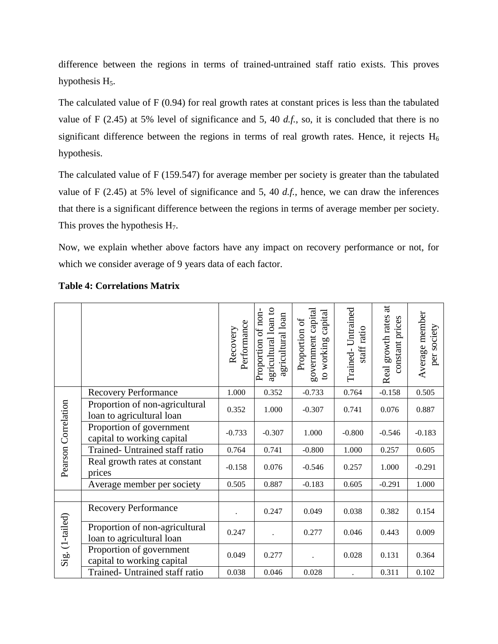difference between the regions in terms of trained-untrained staff ratio exists. This proves hypothesis  $H<sub>5</sub>$ .

The calculated value of F (0.94) for real growth rates at constant prices is less than the tabulated value of F (2.45) at 5% level of significance and 5, 40 *d.f.*, so, it is concluded that there is no significant difference between the regions in terms of real growth rates. Hence, it rejects  $H_6$ hypothesis.

The calculated value of F (159.547) for average member per society is greater than the tabulated value of F (2.45) at 5% level of significance and 5, 40 *d.f.*, hence, we can draw the inferences that there is a significant difference between the regions in terms of average member per society. This proves the hypothesis  $H_7$ .

Now, we explain whether above factors have any impact on recovery performance or not, for which we consider average of 9 years data of each factor.

|                     |                                                             | Performance<br>Recovery | agricultural loan to<br>Proportion of non<br>agricultural loan | government capital<br>capital<br>Proportion of<br>to working | Trained-Untrained<br>staff ratio | $\overline{a}$<br>Real growth rates<br>constant prices | Average member<br>per society |
|---------------------|-------------------------------------------------------------|-------------------------|----------------------------------------------------------------|--------------------------------------------------------------|----------------------------------|--------------------------------------------------------|-------------------------------|
|                     | <b>Recovery Performance</b>                                 | 1.000                   | 0.352                                                          | $-0.733$                                                     | 0.764                            | $-0.158$                                               | 0.505                         |
| Pearson Correlation | Proportion of non-agricultural<br>loan to agricultural loan | 0.352                   | 1.000                                                          | $-0.307$                                                     | 0.741                            | 0.076                                                  | 0.887                         |
|                     | Proportion of government<br>capital to working capital      | $-0.733$                | $-0.307$                                                       | 1.000                                                        | $-0.800$                         | $-0.546$                                               | $-0.183$                      |
|                     | Trained- Untrained staff ratio                              | 0.764                   | 0.741                                                          | $-0.800$                                                     | 1.000                            | 0.257                                                  | 0.605                         |
|                     | Real growth rates at constant<br>prices                     | $-0.158$                | 0.076                                                          | $-0.546$                                                     | 0.257                            | 1.000                                                  | $-0.291$                      |
|                     | Average member per society                                  | 0.505                   | 0.887                                                          | $-0.183$                                                     | 0.605                            | $-0.291$                                               | 1.000                         |
|                     |                                                             |                         |                                                                |                                                              |                                  |                                                        |                               |
| Sig. (1-tailed)     | <b>Recovery Performance</b>                                 |                         | 0.247                                                          | 0.049                                                        | 0.038                            | 0.382                                                  | 0.154                         |
|                     | Proportion of non-agricultural<br>loan to agricultural loan | 0.247                   |                                                                | 0.277                                                        | 0.046                            | 0.443                                                  | 0.009                         |
|                     | Proportion of government<br>capital to working capital      | 0.049                   | 0.277                                                          |                                                              | 0.028                            | 0.131                                                  | 0.364                         |
|                     | Trained- Untrained staff ratio                              | 0.038                   | 0.046                                                          | 0.028                                                        |                                  | 0.311                                                  | 0.102                         |

#### **Table 4: Correlations Matrix**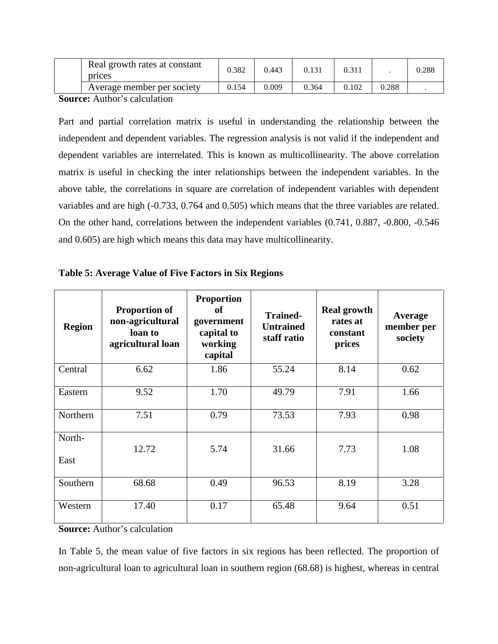| Real growth rates at constant<br>prices | 0.382 | 0.443 |       | 0.311 |       | 0.288 |
|-----------------------------------------|-------|-------|-------|-------|-------|-------|
| Average member per society              | 0.154 | 0.009 | 0.364 | 0.102 | 0.288 |       |

**Source:** Author's calculation

Part and partial correlation matrix is useful in understanding the relationship between the independent and dependent variables. The regression analysis is not valid if the independent and dependent variables are interrelated. This is known as multicollinearity. The above correlation matrix is useful in checking the inter relationships between the independent variables. In the above table, the correlations in square are correlation of independent variables with dependent variables and are high (-0.733, 0.764 and 0.505) which means that the three variables are related. On the other hand, correlations between the independent variables (0.741, 0.887, -0.800, -0.546 and 0.605) are high which means this data may have multicollinearity.

| Table 5: Average Value of Five Factors in Six Regions |  |  |  |  |  |  |
|-------------------------------------------------------|--|--|--|--|--|--|
|-------------------------------------------------------|--|--|--|--|--|--|

| <b>Region</b>  | <b>Proportion of</b><br>non-agricultural<br>loan to<br>agricultural loan | <b>Proportion</b><br><b>of</b><br>government<br>capital to<br>working<br>capital | <b>Trained-</b><br><b>Untrained</b><br>staff ratio | <b>Real growth</b><br>rates at<br>constant<br>prices | Average<br>member per<br>society |
|----------------|--------------------------------------------------------------------------|----------------------------------------------------------------------------------|----------------------------------------------------|------------------------------------------------------|----------------------------------|
| Central        | 6.62                                                                     | 1.86                                                                             | 55.24                                              | 8.14                                                 | 0.62                             |
| Eastern        | 9.52                                                                     | 1.70                                                                             | 49.79                                              | 7.91                                                 | 1.66                             |
| Northern       | 7.51                                                                     | 0.79                                                                             | 73.53                                              | 7.93                                                 | 0.98                             |
| North-<br>East | 12.72                                                                    | 5.74                                                                             | 31.66                                              | 7.73                                                 | 1.08                             |
| Southern       | 68.68                                                                    | 0.49                                                                             | 96.53                                              | 8.19                                                 | 3.28                             |
| Western        | 17.40                                                                    | 0.17                                                                             | 65.48                                              | 9.64                                                 | 0.51                             |

**Source:** Author's calculation

In Table 5, the mean value of five factors in six regions has been reflected. The proportion of non-agricultural loan to agricultural loan in southern region (68.68) is highest, whereas in central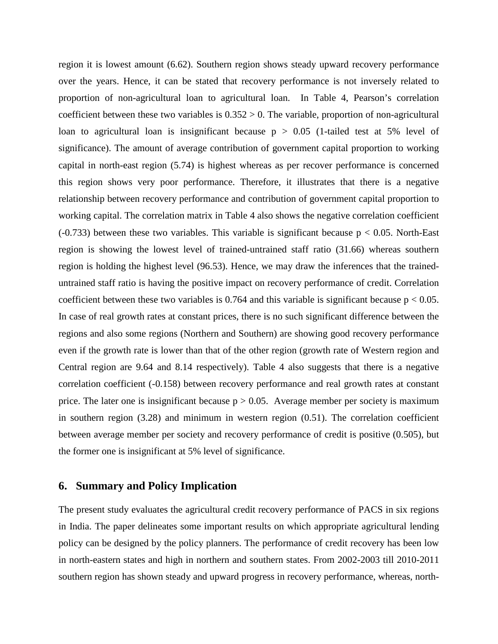region it is lowest amount (6.62). Southern region shows steady upward recovery performance over the years. Hence, it can be stated that recovery performance is not inversely related to proportion of non-agricultural loan to agricultural loan. In Table 4, Pearson's correlation coefficient between these two variables is  $0.352 > 0$ . The variable, proportion of non-agricultural loan to agricultural loan is insignificant because  $p > 0.05$  (1-tailed test at 5% level of significance). The amount of average contribution of government capital proportion to working capital in north-east region (5.74) is highest whereas as per recover performance is concerned this region shows very poor performance. Therefore, it illustrates that there is a negative relationship between recovery performance and contribution of government capital proportion to working capital. The correlation matrix in Table 4 also shows the negative correlation coefficient  $(-0.733)$  between these two variables. This variable is significant because  $p < 0.05$ . North-East region is showing the lowest level of trained-untrained staff ratio (31.66) whereas southern region is holding the highest level (96.53). Hence, we may draw the inferences that the traineduntrained staff ratio is having the positive impact on recovery performance of credit. Correlation coefficient between these two variables is 0.764 and this variable is significant because  $p < 0.05$ . In case of real growth rates at constant prices, there is no such significant difference between the regions and also some regions (Northern and Southern) are showing good recovery performance even if the growth rate is lower than that of the other region (growth rate of Western region and Central region are 9.64 and 8.14 respectively). Table 4 also suggests that there is a negative correlation coefficient (-0.158) between recovery performance and real growth rates at constant price. The later one is insignificant because  $p > 0.05$ . Average member per society is maximum in southern region (3.28) and minimum in western region (0.51). The correlation coefficient between average member per society and recovery performance of credit is positive (0.505), but the former one is insignificant at 5% level of significance.

#### **6. Summary and Policy Implication**

The present study evaluates the agricultural credit recovery performance of PACS in six regions in India. The paper delineates some important results on which appropriate agricultural lending policy can be designed by the policy planners. The performance of credit recovery has been low in north-eastern states and high in northern and southern states. From 2002-2003 till 2010-2011 southern region has shown steady and upward progress in recovery performance, whereas, north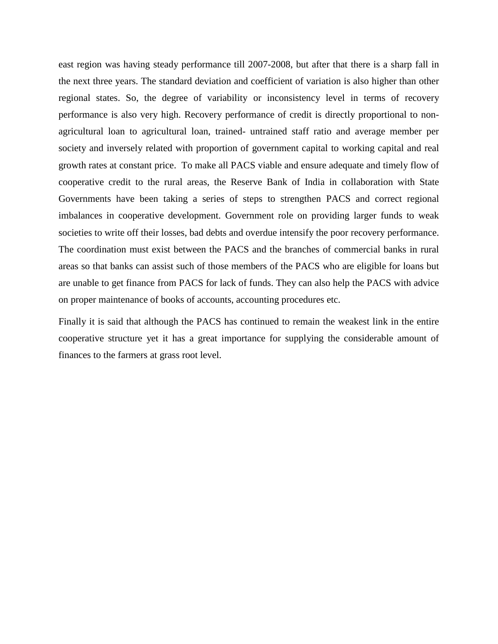east region was having steady performance till 2007-2008, but after that there is a sharp fall in the next three years. The standard deviation and coefficient of variation is also higher than other regional states. So, the degree of variability or inconsistency level in terms of recovery performance is also very high. Recovery performance of credit is directly proportional to nonagricultural loan to agricultural loan, trained- untrained staff ratio and average member per society and inversely related with proportion of government capital to working capital and real growth rates at constant price. To make all PACS viable and ensure adequate and timely flow of cooperative credit to the rural areas, the Reserve Bank of India in collaboration with State Governments have been taking a series of steps to strengthen PACS and correct regional imbalances in cooperative development. Government role on providing larger funds to weak societies to write off their losses, bad debts and overdue intensify the poor recovery performance. The coordination must exist between the PACS and the branches of commercial banks in rural areas so that banks can assist such of those members of the PACS who are eligible for loans but are unable to get finance from PACS for lack of funds. They can also help the PACS with advice on proper maintenance of books of accounts, accounting procedures etc.

Finally it is said that although the PACS has continued to remain the weakest link in the entire cooperative structure yet it has a great importance for supplying the considerable amount of finances to the farmers at grass root level.